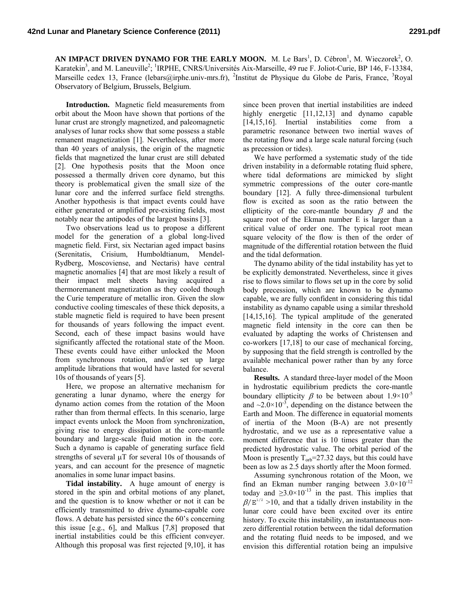AN IMPACT DRIVEN DYNAMO FOR THE EARLY MOON. M. Le Bars<sup>1</sup>, D. Cébron<sup>1</sup>, M. Wieczorek<sup>2</sup>, O. Karatekin<sup>3</sup>, and M. Laneuville<sup>2</sup>; <sup>1</sup>IRPHE, CNRS/Universités Aix-Marseille, 49 rue F. Joliot-Curie, BP 146, F-13384, Marseille cedex 13, France (lebars@irphe.univ-mrs.fr), <sup>2</sup>Institut de Physique du Globe de Paris, France, <sup>3</sup>Royal Observatory of Belgium, Brussels, Belgium.

**Introduction.** Magnetic field measurements from orbit about the Moon have shown that portions of the lunar crust are strongly magnetized, and paleomagnetic analyses of lunar rocks show that some possess a stable remanent magnetization [1]. Nevertheless, after more than 40 years of analysis, the origin of the magnetic fields that magnetized the lunar crust are still debated [2]. One hypothesis posits that the Moon once possessed a thermally driven core dynamo, but this theory is problematical given the small size of the lunar core and the inferred surface field strengths. Another hypothesis is that impact events could have either generated or amplified pre-existing fields, most notably near the antipodes of the largest basins [3].

Two observations lead us to propose a different model for the generation of a global long-lived magnetic field. First, six Nectarian aged impact basins (Serenitatis, Crisium, Humboldtianum, Mendel-Rydberg, Moscoviense, and Nectaris) have central magnetic anomalies [4] that are most likely a result of their impact melt sheets having acquired a thermoremanent magnetization as they cooled though the Curie temperature of metallic iron. Given the slow conductive cooling timescales of these thick deposits, a stable magnetic field is required to have been present for thousands of years following the impact event. Second, each of these impact basins would have significantly affected the rotational state of the Moon. These events could have either unlocked the Moon from synchronous rotation, and/or set up large amplitude librations that would have lasted for several 10s of thousands of years [5].

Here, we propose an alternative mechanism for generating a lunar dynamo, where the energy for dynamo action comes from the rotation of the Moon rather than from thermal effects. In this scenario, large impact events unlock the Moon from synchronization, giving rise to energy dissipation at the core-mantle boundary and large-scale fluid motion in the core. Such a dynamo is capable of generating surface field strengths of several  $\mu$ T for several 10s of thousands of years, and can account for the presence of magnetic anomalies in some lunar impact basins.

**Tidal instability.** A huge amount of energy is stored in the spin and orbital motions of any planet, and the question is to know whether or not it can be efficiently transmitted to drive dynamo-capable core flows. A debate has persisted since the 60's concerning this issue [e.g., 6], and Malkus [7,8] proposed that inertial instabilities could be this efficient conveyer. Although this proposal was first rejected [9,10], it has

since been proven that inertial instabilities are indeed highly energetic [11,12,13] and dynamo capable [14,15,16]. Inertial instabilities come from a parametric resonance between two inertial waves of the rotating flow and a large scale natural forcing (such as precession or tides).

We have performed a systematic study of the tide driven instability in a deformable rotating fluid sphere, where tidal deformations are mimicked by slight symmetric compressions of the outer core-mantle boundary [12]. A fully three-dimensional turbulent flow is excited as soon as the ratio between the ellipticity of the core-mantle boundary  $\beta$  and the square root of the Ekman number E is larger than a critical value of order one. The typical root mean square velocity of the flow is then of the order of magnitude of the differential rotation between the fluid and the tidal deformation.

The dynamo ability of the tidal instability has yet to be explicitly demonstrated. Nevertheless, since it gives rise to flows similar to flows set up in the core by solid body precession, which are known to be dynamo capable, we are fully confident in considering this tidal instability as dynamo capable using a similar threshold [14,15,16]. The typical amplitude of the generated magnetic field intensity in the core can then be evaluated by adapting the works of Christensen and co-workers [17,18] to our case of mechanical forcing, by supposing that the field strength is controlled by the available mechanical power rather than by any force balance.

**Results.** A standard three-layer model of the Moon in hydrostatic equilibrium predicts the core-mantle boundary ellipticity  $\beta$  to be between about  $1.9 \times 10^{-5}$ and  $\sim$ 2.0 $\times$ 10<sup>-3</sup>, depending on the distance between the Earth and Moon. The difference in equatorial moments of inertia of the Moon (B-A) are not presently hydrostatic, and we use as a representative value a moment difference that is 10 times greater than the predicted hydrostatic value. The orbital period of the Moon is presently  $T_{orb} = 27.32$  days, but this could have been as low as 2.5 days shortly after the Moon formed.

Assuming synchronous rotation of the Moon, we find an Ekman number ranging between  $3.0 \times 10^{-12}$ today and  $\geq 3.0 \times 10^{-13}$  in the past. This implies that  $\beta/E^{1/2} > 10$ , and that a tidally driven instability in the lunar core could have been excited over its entire history. To excite this instability, an instantaneous nonzero differential rotation between the tidal deformation and the rotating fluid needs to be imposed, and we envision this differential rotation being an impulsive